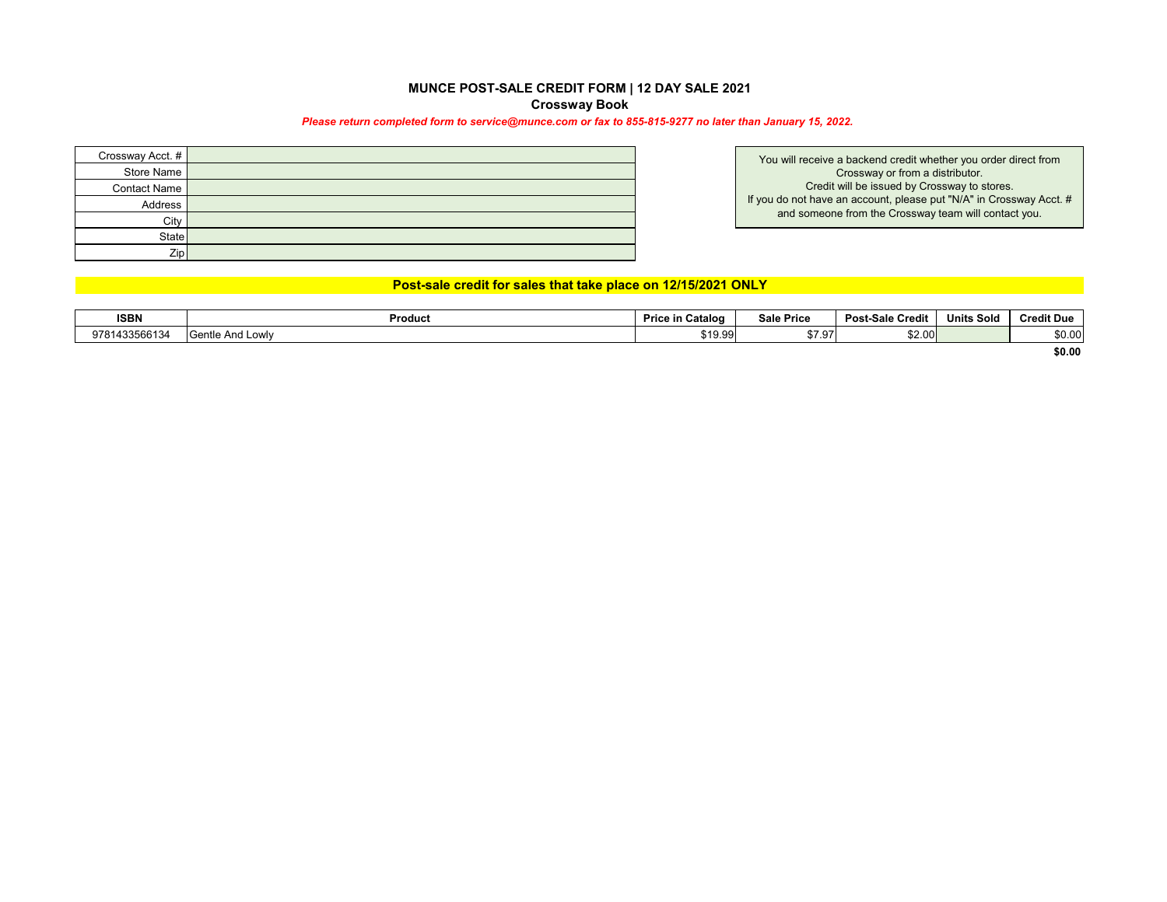### **MUNCE POST-SALE CREDIT FORM | 12 DAY SALE 2021 Crossway Book**

#### *Please return completed form to service@munce.com or fax to 855-815-9277 no later than January 15, 2022.*

| Crossway Acct. #    |  |
|---------------------|--|
| Store Name          |  |
| <b>Contact Name</b> |  |
| Address             |  |
| City                |  |
| <b>State</b>        |  |
| Zip                 |  |

You will receive a backend credit whether you order direct from Crossway or from a distributor. Credit will be issued by Crossway to stores. If you do not have an account, please put "N/A" in Crossway Acct. # and someone from the Crossway team will contact you.

## **Post-sale credit for sales that take place on 12/15/2021 ONLY**

| <b>ISBN</b>                  | Product                   | . Cataloo<br><b>Price in</b> | Sale Price                                                  | <b>Post-Sale Credit</b> | <b>Units Sold</b> | Cre<br>it Dur |
|------------------------------|---------------------------|------------------------------|-------------------------------------------------------------|-------------------------|-------------------|---------------|
| 133566134<br>9781<br>1455000 | entle And Lowlv<br>:antla | 19.99                        | $\sim$ $\sim$ $\sim$<br>$\cdot$<br>$\overline{\phantom{a}}$ | \$2.00                  |                   | \$0.00        |

**\$0.00**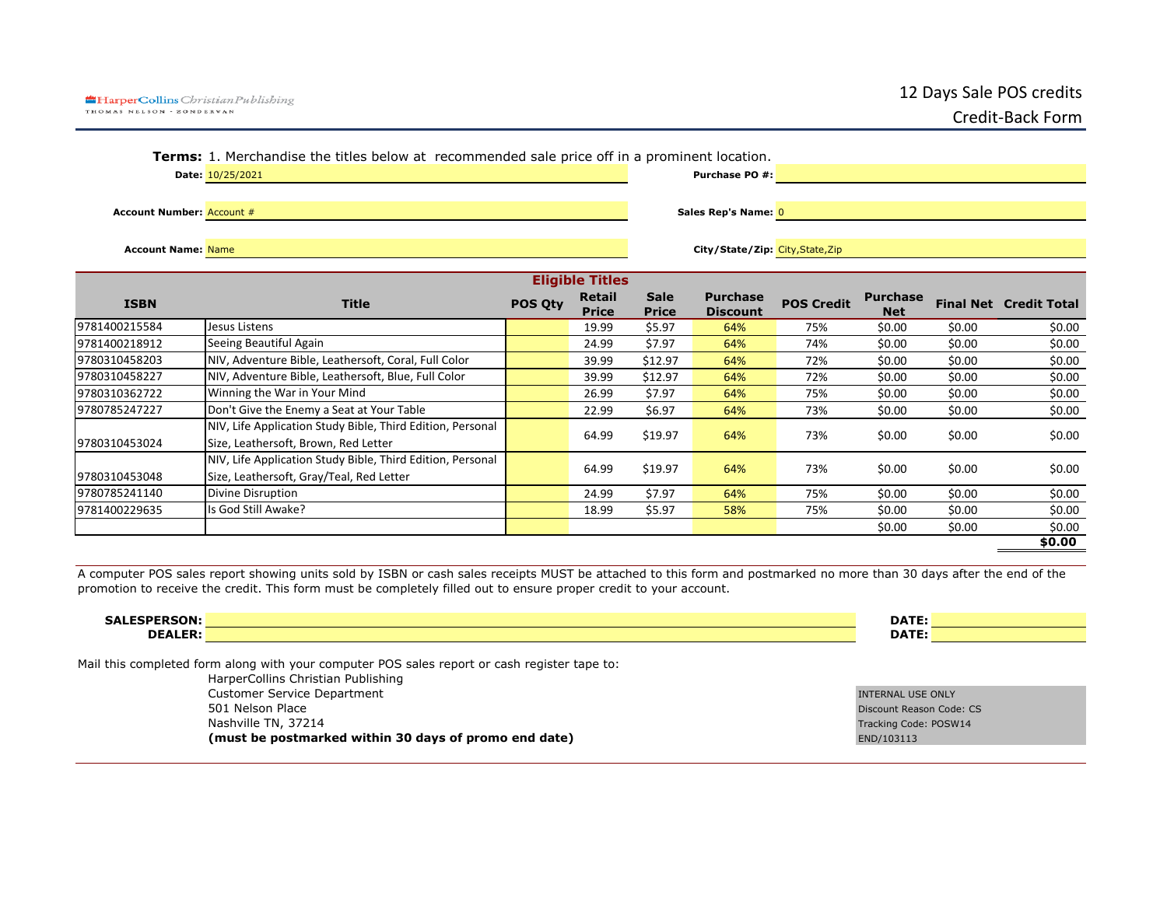|                                  | <b>Terms:</b> 1. Merchandise the titles below at recommended sale price off in a prominent location. |         |                        |                        |                                  |                   |                     |       |                               |
|----------------------------------|------------------------------------------------------------------------------------------------------|---------|------------------------|------------------------|----------------------------------|-------------------|---------------------|-------|-------------------------------|
|                                  | Date: 10/25/2021                                                                                     |         |                        |                        | <b>Purchase PO #:</b>            |                   |                     |       |                               |
|                                  |                                                                                                      |         |                        |                        |                                  |                   |                     |       |                               |
| <b>Account Number: Account #</b> |                                                                                                      |         |                        |                        | Sales Rep's Name: 0              |                   |                     |       |                               |
|                                  |                                                                                                      |         |                        |                        |                                  |                   |                     |       |                               |
| <b>Account Name: Name</b>        |                                                                                                      |         |                        |                        | City/State/Zip: City, State, Zip |                   |                     |       |                               |
|                                  |                                                                                                      |         |                        |                        |                                  |                   |                     |       |                               |
|                                  |                                                                                                      |         | <b>Eligible Titles</b> |                        |                                  |                   |                     |       |                               |
| <b>ISBN</b>                      | <b>Title</b>                                                                                         | POS Qty | Retail                 | <b>Sale</b>            | <b>Purchase</b>                  | <b>POS Credit</b> | <b>Purchase</b>     |       | <b>Final Net Credit Total</b> |
| 100215584                        | lesus Listens                                                                                        |         | <b>Price</b><br>19.99  | <b>Price</b><br>\$5.97 | <b>Discount</b><br>61%           | 75%               | <b>Net</b><br>sn nn | sn nn | sn nn                         |

|               |                                                            | <u>FIILE</u> | <b>FIILE</b> | DISCOUIIL |     | REL    |        |        |
|---------------|------------------------------------------------------------|--------------|--------------|-----------|-----|--------|--------|--------|
| 9781400215584 | Jesus Listens                                              | 19.99        | \$5.97       | 64%       | 75% | \$0.00 | \$0.00 | \$0.00 |
| 9781400218912 | Seeing Beautiful Again                                     | 24.99        | \$7.97       | 64%       | 74% | \$0.00 | \$0.00 | \$0.00 |
| 9780310458203 | NIV, Adventure Bible, Leathersoft, Coral, Full Color       | 39.99        | \$12.97      | 64%       | 72% | \$0.00 | \$0.00 | \$0.00 |
| 9780310458227 | NIV, Adventure Bible, Leathersoft, Blue, Full Color        | 39.99        | \$12.97      | 64%       | 72% | \$0.00 | \$0.00 | \$0.00 |
| 9780310362722 | Winning the War in Your Mind                               | 26.99        | \$7.97       | 64%       | 75% | \$0.00 | \$0.00 | \$0.00 |
| 9780785247227 | Don't Give the Enemy a Seat at Your Table                  | 22.99        | \$6.97       | 64%       | 73% | \$0.00 | \$0.00 | \$0.00 |
|               | NIV, Life Application Study Bible, Third Edition, Personal |              |              |           |     |        |        |        |
| 9780310453024 | Size, Leathersoft, Brown, Red Letter                       | 64.99        | \$19.97      | 64%       | 73% | \$0.00 | \$0.00 | \$0.00 |
|               | NIV, Life Application Study Bible, Third Edition, Personal |              |              |           |     |        |        |        |
| 9780310453048 | Size, Leathersoft, Gray/Teal, Red Letter                   | 64.99        | \$19.97      | 64%       | 73% | \$0.00 | \$0.00 | \$0.00 |
| 9780785241140 | Divine Disruption                                          | 24.99        | \$7.97       | 64%       | 75% | \$0.00 | \$0.00 | \$0.00 |
| 9781400229635 | Is God Still Awake?                                        | 18.99        | \$5.97       | 58%       | 75% | \$0.00 | \$0.00 | \$0.00 |
|               |                                                            |              |              |           |     | \$0.00 | \$0.00 | \$0.00 |
|               |                                                            |              |              |           |     |        |        | \$0.00 |
|               |                                                            |              |              |           |     |        |        |        |

A computer POS sales report showing units sold by ISBN or cash sales receipts MUST be attached to this form and postmarked no more than 30 days after the end of the promotion to receive the credit. This form must be completely filled out to ensure proper credit to your account.

| . – <b>.</b> 7<br>--<br>SALES.<br>JN:7 | <b>DATE</b>        |
|----------------------------------------|--------------------|
| <b>DEALED</b>                          | <b>DATF</b><br>. . |

Mail this completed form along with your computer POS sales report or cash register tape to:

HarperCollins Christian Publishing Customer Service Department<br>
501 Nelson Place College on the Superior Service Service Service Service Service Service Service Service Serv<br>
1990 Discount Reason Code SO1 Nelson Place CS and the USA of the USA of the USA of the USA of the USA of the USA of the Discount Reason Code: CS<br>
Discount Reason Code: CS and the USA of the USA of the USA of the USA of the USA of the USA of the USA **(must be postmarked within 30 days of promo end date)** END/103113

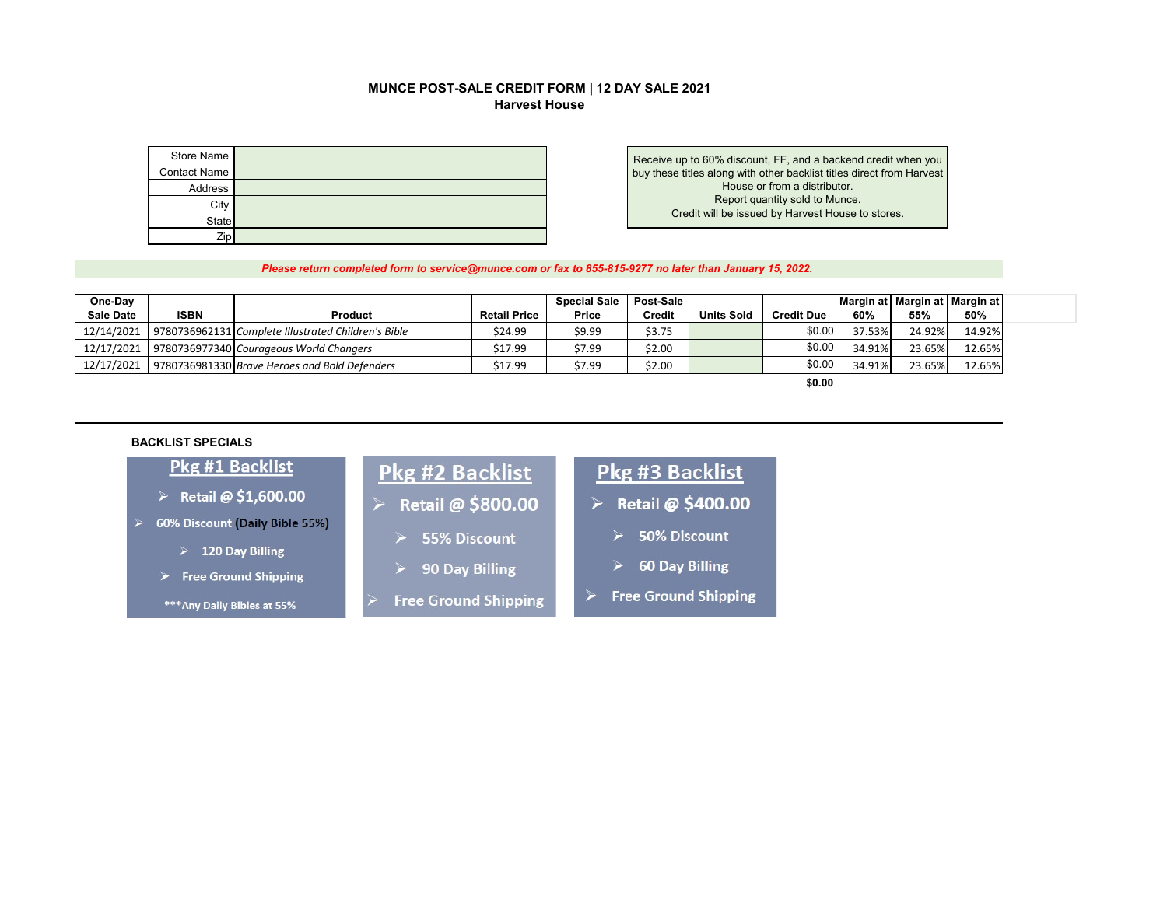### MUNCE POST-SALE CREDIT FORM | 12 DAY SALE 2021 **Harvest House**

| Store Name          |  |
|---------------------|--|
| <b>Contact Name</b> |  |
| Address             |  |
| City                |  |
| State               |  |
| Zip                 |  |

Receive up to 60% discount, FF, and a backend credit when you buy these titles along with other backlist titles direct from Harvest House or from a distributor. Report quantity sold to Munce. Credit will be issued by Harvest House to stores.

Please return completed form to service@munce.com or fax to 855-815-9277 no later than January 15, 2022.

| One-Day<br><b>Sale Date</b> | <b>ISBN</b> | <b>Product</b>                                                 | <b>Retail Price</b> | <b>Special Sale</b><br>Price | Post-Sale<br><b>Credit</b> | <b>Units Sold</b> | <b>Credit Due</b> | 60%    | Margin at   Margin at   Margin at  <br>55% | 50%    |
|-----------------------------|-------------|----------------------------------------------------------------|---------------------|------------------------------|----------------------------|-------------------|-------------------|--------|--------------------------------------------|--------|
|                             |             | 12/14/2021 9780736962131 Complete Illustrated Children's Bible | \$24.99             | \$9.99                       | \$3.75                     |                   | \$0.00            | 37.53% | 24.92%                                     | 14.92% |
|                             |             | 12/17/2021 9780736977340 Courageous World Changers             | \$17.99             | \$7.99                       | \$2.00                     |                   | \$0.00            | 34.91% | 23.65%                                     | 12.65% |
|                             |             | 12/17/2021 9780736981330 Brave Heroes and Bold Defenders       | \$17.99             | \$7.99                       | \$2.00                     |                   | \$0.00            | 34.91% | 23.65%                                     | 12.65% |
|                             |             |                                                                |                     |                              |                            |                   |                   |        |                                            |        |

\$0.00

#### **BACKLIST SPECIALS**

## Pkg #1 Backlist

- > Retail @  $$1,600.00$
- > 60% Discount (Daily Bible 55%)
	- $\triangleright$  120 Day Billing
	- $\triangleright$  Free Ground Shipping
	- \*\*\* Any Daily Bibles at 55%

# **Pkg #2 Backlist**

- > Retail @ \$800.00
	- 55% Discount
	- 90 Day Billing
- **Free Ground Shipping**

# Pkg #3 Backlist

- $\triangleright$  Retail @ \$400.00
	- $\blacktriangleright$ 50% Discount
	- **60 Day Billing**
- **Free Ground Shipping**